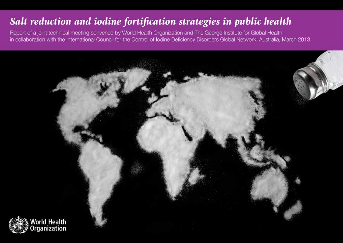## Salt reduction and iodine fortification strategies in public health

Report of a joint technical meeting convened by World Health Organization and The George Institute for Global Health in collaboration with the International Council for the Control of Iodine Deficiency Disorders Global Network, Australia, March 2013

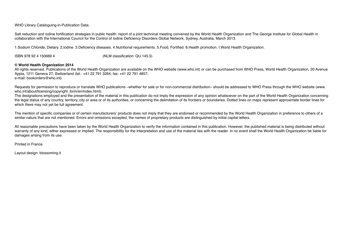### WHO Library Cataloguing-in-Publication Data:

Salt reduction and iodine fortification strategies in public health: report of a joint technical meeting convened by the World Health Organization and The George Institute for Global Health in collaboration with the International Council for the Control of Iodine Deficiency Disorders Global Network, Sydney, Australia, March 2013.

1.Sodium Chloride, Dietary. 2.Iodine. 3.Deficiency diseases. 4.Nutritional requirements. 5.Food, Fortified. 6.Health promotion. I.World Health Organization.

ISBN 978 92 4 150669 4 (NLM classification: QU 145.5)

### **© World Health Organization 2014**

All rights reserved. Publications of the World Health Organization are available on the WHO website (www.who.int) or can be purchased from WHO Press, World Health Organization, 20 Avenue Appia, 1211 Geneva 27, Switzerland (tel.: +41 22 791 3264; fax: +41 22 791 4857; e-mail: bookorders@who.int).

Requests for permission to reproduce or translate WHO publications –whether for sale or for non-commercial distribution– should be addressed to WHO Press through the WHO website (www. who.int/about/licensing/copyright\_form/en/index.html).

The designations employed and the presentation of the material in this publication do not imply the expression of any opinion whatsoever on the part of the World Health Organization concerning the legal status of any country, territory, city or area or of its authorities, or concerning the delimitation of its frontiers or boundaries. Dotted lines on maps represent approximate border lines for which there may not yet be full agreement.

The mention of specific companies or of certain manufacturers' products does not imply that they are endorsed or recommended by the World Health Organization in preference to others of a similar nature that are not mentioned. Errors and omissions excepted, the names of proprietary products are distinguished by initial capital letters.

All reasonable precautions have been taken by the World Health Organization to verify the information contained in this publication. However, the published material is being distributed without warranty of any kind, either expressed or implied. The responsibility for the interpretation and use of the material lies with the reader. In no event shall the World Health Organization be liable for damages arising from its use.

Printed in France

Layout design: blossoming.it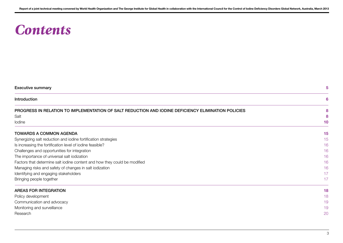## *Contents*

| <b>Executive summary</b>                                                                            | 5  |
|-----------------------------------------------------------------------------------------------------|----|
| Introduction                                                                                        | 6  |
| PROGRESS IN RELATION TO IMPLEMENTATION OF SALT REDUCTION AND IODINE DEFICIENCY ELIMINATION POLICIES | 8  |
| Salt                                                                                                |    |
| lodine                                                                                              | 10 |
| <b>TOWARDS A COMMON AGENDA</b>                                                                      | 15 |
| Synergizing salt reduction and iodine fortification strategies                                      | 15 |
| Is increasing the fortification level of iodine feasible?                                           | 16 |
| Challenges and opportunities for integration                                                        | 16 |
| The importance of universal salt iodization                                                         | 16 |
| Factors that determine salt iodine content and how they could be modified                           | 16 |
| Managing risks and safety of changes in salt iodization                                             | 16 |
| Identifying and engaging stakeholders                                                               | 17 |
| Bringing people together                                                                            | 17 |
| <b>AREAS FOR INTEGRATION</b>                                                                        | 18 |
| Policy development                                                                                  | 18 |
| Communication and advocacy                                                                          | 19 |
| Monitoring and surveillance                                                                         | 19 |
| Research                                                                                            | 20 |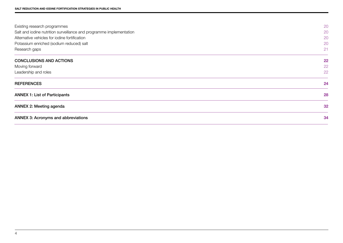| Existing research programmes                                        | 20 |
|---------------------------------------------------------------------|----|
| Salt and iodine nutrition surveillance and programme implementation | 20 |
| Alternative vehicles for iodine fortification                       | 20 |
| Potassium enriched (sodium reduced) salt                            | 20 |
| Research gaps                                                       | 21 |
| <b>CONCLUSIONS AND ACTIONS</b>                                      | 22 |
| Moving forward                                                      | 22 |
| Leadership and roles                                                | 22 |
| <b>REFERENCES</b>                                                   | 24 |
| <b>ANNEX 1: List of Participants</b>                                | 28 |
| <b>ANNEX 2: Meeting agenda</b>                                      | 32 |
| <b>ANNEX 3: Acronyms and abbreviations</b>                          | 34 |
|                                                                     |    |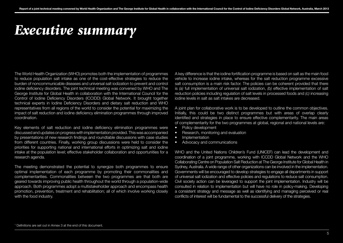## *Executive summary*

The World Health Organization (WHO) promotes both the implementation of programmes to reduce population salt intake as one of the cost-effective strategies to reduce the burden of noncommunicable diseases and universal salt iodization to prevent and control iodine deficiency disorders. The joint technical meeting was convened by WHO and The George Institute for Global Health in collaboration with the International Council for the Control of Iodine Deficiency Disorders (ICCIDD) Global Network. It brought together technical experts in Iodine Deficiency Disorders and dietary salt reduction and WHO representatives from all regions of the world to consider the potential for maximizing the impact of salt reduction and iodine deficiency elimination programmes through improved coordination.

Key elements of salt reduction and iodine deficiency elimination programmes were discussed and updates on progress with implementation provided. This was accompanied by presentations of new research findings and roundtable discussions with case studies from different countries. Finally, working group discussions were held to consider the priorities for supporting national and international efforts in optimizing salt and iodine intake at the population level; effective stakeholder collaboration and opportunities for a research agenda.

The meeting demonstrated the potential to synergize both programmes to ensure optimal implementation of each programme by promoting their commonalities and complementarities. Commonalities between the two programmes are that both are geared towards improving public health throughout the world through a population-wide approach. Both programmes adopt a multistakeholder approach and encompass health promotion, prevention, treatment and rehabilitation; all of which involve working closely with the food industry.

A key difference is that the iodine fortification programme is based on salt as the main food vehicle to increase iodine intake, whereas for the salt reduction programme excessive salt consumption is a main risk factor. The policies can be coherent provided that there is *(a)* full implementation of universal salt iodization, *(b)* effective implementation of salt reduction policies including regulation of salt levels in processed foods and *(c)* increasing iodine levels in salt as salt intakes are decreased.

A joint plan for collaborative work is to be developed to outline the common objectives. Initially, this could be two distinct programmes but with areas of overlap clearly identified and strategies in place to ensure effective complementarity. The main areas of complementarity for the two programmes at global, regional and national levels are:

- Policy development
- Research, monitoring and evaluation
- Implementation
- Advocacy and communications

WHO and the United Nations Children's Fund (UNICEF) can lead the development and coordination of a joint programme, working with ICCDD Global Network and the WHO Collaborating Centre on Population Salt Reduction at The George Institute for Global Health in Sydney, Australia. A wide range of other organizations can be involved in the implementation. Governments will be encouraged to develop strategies to engage all departments in support of universal salt iodization and effective policies and regulations to reduce salt consumption. Civil society action can be leveraged to support the joint implementation. Industry will be consulted in relation to implementation but will have no role in policy-making. Developing a consistent strategy and message as well as identifying and managing perceived or real conflicts of interest will be fundamental to the successful delivery of the strategies.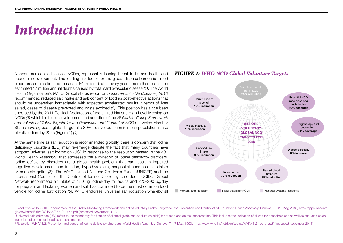## *Introduction*

Noncommunicable diseases (NCDs), represent a leading threat to human health and economic development. The leading risk factor for the global disease burden is raised blood pressure, estimated to cause 9·4 million deaths every year—more than half of the estimated 17 million annual deaths caused by total cardiovascular disease *(1)*. The World Health Organization's (WHO) Global status report on *noncommunicable diseases, 2010* recommended reduced salt intake and salt content of food as cost-effective actions that should be undertaken immediately, with expected accelerated results in terms of lives saved, cases of disease prevented and costs avoided *(2)*. This position has since been endorsed by the 2011 Political Declaration of the United Nations High Level Meeting on NCDs *(3)* which led to the development and adoption of the *Global Monitoring Framework and Voluntary Global Targets for the Prevention and Control of NCDs*<sup>i</sup> in which Member States have agreed a global target of a 30% relative reduction in mean population intake of salt/sodium by 2025 (Figure 1) *(4)*.

At the same time as salt reduction is recommended globally, there is concern that iodine deficiency disorders (IDD) may re-emerge despite the fact that many countries have adopted universal salt iodization<sup>ii</sup> (USI) in response to the resolution passed in the  $43<sup>rd</sup>$ World Health Assembly<sup>ii</sup> that addressed the elimination of iodine deficiency disorders. Iodine deficiency disorders are a global health problem that can result in impaired cognitive development and function, hypothyroidism, congenital anomalies, cretinism or endemic goitre *(5)*. The WHO, United Nations Children's Fund (UNICEF) and the International Council for the Control of Iodine Deficiency Disorders (ICCIDD) Global Network recommend an intake of 150 µg iodine/day for adults and 220–290 µg/day for pregnant and lactating women and salt has continued to be the most common food vehicle for iodine fortification *(6)*. WHO endorses universal salt iodization whereby all

## *FIGURE 1: WHO NCD Global Voluntary Targets*



iii Resolution WHA43.2. Prevention and control of iodine deficiency disorders. World Health Assembly, Geneva, 7–17 May, 1990, http://www.who.int/nutrition/topics/WHA43.2\_idd\_en.pdf [accessed November 2013].

<sup>i</sup> Resolution WHA66.10. Endorsement of the Global Monitoring Framework and set of Voluntary Global Targets for the Prevention and Control of NCDs. World Health Assembly, Geneva, 20–28 May, 2013, http://apps.who.int/ gb/ebwha/pdf\_files/WHA66/A66\_R10-en.pdf [accessed November 2013].

<sup>&</sup>quot; Universal salt iodization (USI) refers to the mandatory fortification of all food grade salt (sodium chloride) for human and animal consumption. This includes the iodization of all salt for household use as well as salt ingredient of processed foods and condiments.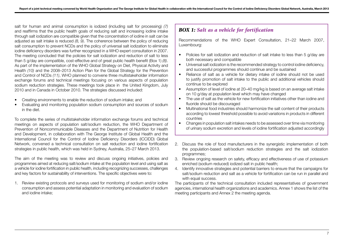salt for human and animal consumption is iodized (including salt for processing) *(7)* and reaffirms that the public health goals of reducing salt and increasing iodine intake through salt iodization are compatible given that the concentration of iodine in salt can be adjusted as salt intake is reduced *(8, 9)*. The coherence between the policy of reducing salt consumption to prevent NCDs and the policy of universal salt iodization to eliminate iodine deficiency disorders was further recognized in a WHO expert consultation in 2007. The meeting concluded that the policies for salt iodization and reduction of salt to less than 5 g/day are compatible, cost-effective and of great public health benefit (Box 1) *(8)*. As part of the implementation of the WHO Global Strategy on Diet, Physical Activity and Health *(10)* and the 2008–2013 Action Plan for the Global Strategy for the Prevention and Control of NCDs *(11)*, WHO planned to convene three multistakeholder information exchange forums and technical meetings focusing on various aspects of population sodium reduction strategies. These meetings took place in the United Kingdom, July 2010 and in Canada in October 2010. The strategies discussed included:

- Creating environments to enable the reduction of sodium intake; and
- Evaluating and monitoring population sodium consumption and sources of sodium in the diet.

To complete the series of multistakeholder information exchange forums and technical meetings on aspects of population salt/sodium reduction, the WHO Department of Prevention of Noncommunicable Diseases and the Department of Nutrition for Health and Development, in collaboration with The George Institute of Global Health and the International Council for the Control of Iodine Deficiency Disorders (ICCIDD) Global Network, convened a technical consultation on salt reduction and iodine fortification strategies in public health, which was held in Sydney, Australia, 25–27 March 2013.

The aim of the meeting was to review and discuss ongoing initiatives, policies and programmes aimed at reducing salt/sodium intake at the population level and using salt as a vehicle for iodine fortification in public health, including recognizing successes, challenges and key factors for sustainability of interventions. The specific objectives were to:

1. Review existing protocols and surveys used for monitoring of sodium and/or iodine consumption and assess potential adaptation in monitoring and evaluation of sodium and iodine intake;

## *BOX 1: Salt as a vehicle for fortification*

Recommendations of the WHO Expert Consultation, 21–22 March 2007, Luxembourg:

- Policies for salt iodization and reduction of salt intake to less than 5 g/day are both necessary and compatible
- Universal salt iodization is the recommended strategy to control iodine deficiency, and successful programmes should continue and be sustained
- Reliance of salt as a vehicle for dietary intake of iodine should not be used to justify promotion of salt intake to the public and additional vehicles should continue to be explored
- Assumption of level of iodine at 20–40 mg/kg is based on an average salt intake on 10 g/day at population level which may have changed
- The use of salt as the vehicle for new fortification initiatives other than iodine and fluoride should be discouraged
- Multinational food industries should harmonize the salt content of their products according to lowest threshold possible to avoid variations in products in different countries
- Changes in population salt intakes needs to be assessed over time via monitoring of urinary sodium excretion and levels of iodine fortification adjusted accordingly
- 2. Discuss the role of food manufacturers in the synergistic implementation of both the population-based salt/sodium reduction strategies and the salt iodization programmes;
- 3. Review ongoing research on safety, efficacy and effectiveness of use of potassium enriched (sodium reduced) iodized salt in public health;
- 4. Identify innovative strategies and potential barriers to ensure that the campaigns for salt/sodium reduction and salt as a vehicle for fortification can be run in parallel and with equal success.

The participants of the technical consultation included representatives of government agencies, international health organizations and academics. Annex 1 shows the list of the meeting participants and Annex 2 the meeting agenda.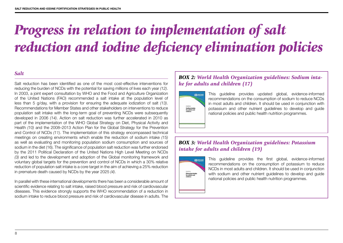# *Progress in relation to implementation of salt reduction and iodine deficiency elimination policies*

## *Salt*

Salt reduction has been identified as one of the most cost-effective interventions for reducing the burden of NCDs with the potential for saving millions of lives each year *(12)*. In 2003, a joint expert consultation by WHO and the Food and Agriculture Organization of the United Nations (FAO) recommended a salt intake at the population level of less than 5 g/day, with a provision for ensuring the adequate iodization of salt *(13)*. Recommendations for Member States and other stakeholders on interventions to reduce population salt intake with the long-term goal of preventing NCDs were subsequently developed in 2006 *(14)*. Action on salt reduction was further accelerated in 2010 as part of the implementation of the WHO Global Strategy on Diet, Physical Activity and Health *(10)* and the 2008–2013 Action Plan for the Global Strategy for the Prevention and Control of NCDs *(11)*. The implementation of this strategy encompassed technical meetings on creating environments which enable the reduction of sodium intake *(15)* as well as evaluating and monitoring population sodium consumption and sources of sodium in the diet (16). The significance of population salt reduction was further endorsed by the 2011 Political Declaration of the United Nations High Level Meeting on NCDs *(3)* and led to the development and adoption of the Global monitoring framework and voluntary global targets for the prevention and control of NCDs in which a 30% relative reduction of population salt intake is a core target in the aim of achieving a 25% reduction in premature death caused by NCDs by the year 2025 *(4)*.

In parallel with these international developments there has been a considerable amount of scientific evidence relating to salt intake, raised blood pressure and risk of cardiovascular diseases. This evidence strongly supports the WHO recommendation of a reduction in sodium intake to reduce blood pressure and risk of cardiovascular disease in adults. The

## *BOX 2: World Health Organization guidelines: Sodium intake for adults and children (17)*



This guideline provides updated global, evidence-informed recommendations on the consumption of sodium to reduce NCDs in most adults and children. It should be used in conjunction with potassium and other nutrient guidelines to develop and guide national policies and public health nutrition programmes.

## *BOX 3: World Health Organization guidelines: Potassium intake for adults and children (19)*



This guideline provides the first global, evidence-informed recommendations on the consumption of potassium to reduce NCDs in most adults and children. It should be used in conjunction with sodium and other nutrient guidelines to develop and guide national policies and public health nutrition programmes.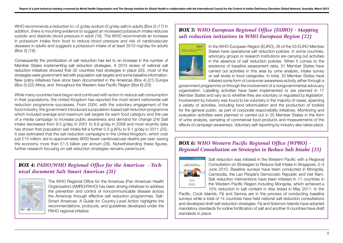WHO recommends a reduction to <2 g/day sodium (5 g/day salt) in adults (Box 2) *(17)* In addition, there is mounting evidence to suggest an increased potassium intake reduces systolic and diastolic blood pressure in adult *(18)*. The WHO recommends an increase in potassium intake from food to reduce blood pressure and risk of cardiovascular diseases in adults and suggests a potassium intake of at least 3510 mg/day for adults (Box 3) *(19)*.

Consequently the prioritization of salt reduction has led to an increase in the number of Member States implementing salt reduction strategies. A 2010 review of national salt reduction initiatives showed that 32 countries had strategies in place *(20)*, most of the strategies were government-led with population salt targets and some baseline information. New policy initiatives have since been documented in the Americas (Box 4) *(21)* Europe (Box 5) *(22)* Africa, and throughout the Western Asia Pacific Region (Box 6) *(23)*.

While many countries have begun and continued with action to reduce salt consumption in their populations, the United Kingdom has reported the most recent nationwide salt reduction programme successes. From 2004, with the voluntary engagement of the food industry, the government introduced a population-based salt reduction programme which included average and maximum salt targets for each food category and the use of a media campaign to increase public awareness and demand for change *(24)* Salt intake decreased from 9.5 g/day in 2001 to 8.6 g/day in 2008 and most recently data has shown that population salt intake fell a further 0.5 g (6%) to 8.1 g/day in 2011 *(25)*. It was estimated that the salt reduction campaigns in the United Kingdom, which cost just £15 million, led to approximately 9000 fewer cardiovascular deaths per year, saving the economy more than £1.5 billion per annum *(26)*. Notwithstanding these figures, further research focusing on salt reduction strategies remains paramount.

## *BOX 4: PAHO/WHO Regional Office for the Americas - Technical document Salt Smart Americas (21)*



The WHO Regional Office for the Americas (Pan American Health Organization) (AMRO/PAHO) has been driving initiatives to address the prevention and control of noncommunicable disease across the Americas through effective salt reduction programmes. Salt-Smart Americas: A Guide for Country-Level Action highlights the recommendations, protocols, and guidelines developed under the PAHO regional initiative.

## *BOX 5: WHO European Regional Office (EURO) - Mapping salt reduction initiatives in WHO European Region (22)*



In the WHO European Region (EURO), 26 of the 53 EURO Member States have operational salt reduction policies. In some countries, advocacy groups or research institutions are carrying out activities in the absence of salt reduction policies. When it comes to the existence of baseline assessment data, 31 Member States have carried out activities in this area by urine analysis, intake survey or salt levels in food categories. In total, 33 Member States have initiated some form of consumer awareness activity, either through a

government programme or through the involvement of a nongovernmental advocacy organization. Labelling activities have been implemented or are planned in 17 Member States and vary as to whether they are voluntary or regulated by legislation. Involvement by industry was found to be voluntary in the majority of cases, spanning a variety of activities, including food reformulation and the production of toolkits for the general public, as part of corporate responsibility initiatives. Monitoring and evaluation activities were planned or carried out in 25 Member States in the form of urine analysis, sampling of commercial food products and measurements of the effects of campaign awareness. Voluntary self-reporting by industry also takes place.

## *BOX 6: WHO Western Pacific Regional Office (WPRO) - Regional Consultation on Strategies to Reduce Salt Intake (23)*



Salt reduction was initiated in the Western Pacific with a Regional Consultation on Strategies to Reduce Salt Intake in Singapore, 2–3 June 2010. Baseline surveys have been conducted in Mongolia, Cambodia, the Lao People's Democratic Republic and Viet Nam. Salt reduction interventions have been initiated in 11 countries in the Western Pacific Region including Mongolia, which achieved a 10% reduction in salt content in Atar bread in May 2011. In the

Pacific, Cook Islands, Fiji and Samoa are in the process of conducting baseline surveys while a total of 14 countries have held national salt reduction consultations and developed draft salt reduction strategies. Fiji and Solomon Islands have adopted mandatory standards for iodine fortification of salt and another 9 countries have draft standards in place.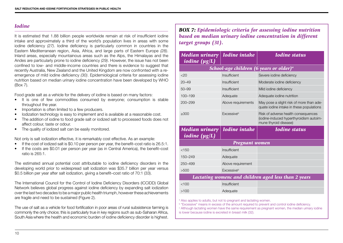## *Iodine*

It is estimated that 1.88 billion people worldwide remain at risk of insufficient iodine intake and approximately a third of the world's population lives in areas with some iodine deficiency *(27)*. Iodine deficiency is particularly common in countries in the Eastern Mediterranean region, Asia, Africa, and large parts of Eastern Europe *(28)*. Inland areas, especially mountainous areas such as the Alps, the Himalayas and the Andes are particularly prone to iodine deficiency *(29)*. However, the issue has not been confined to low- and middle-income countries and there is evidence to suggest that recently Australia, New Zealand and the United Kingdom are now confronted with a reemergence of mild iodine deficiency *(30)*. Epidemiological criteria for assessing iodine nutrition based on median urinary iodine concentration have been developed by WHO (Box 7).

Food grade salt as a vehicle for the delivery of iodine is based on many factors:

- It is one of few commodities consumed by everyone; consumption is stable throughout the year.
- Importation is often limited to a few producers.
- Iodization technology is easy to implement and is available at a reasonable cost.
- The addition of iodine to food grade salt or iodized salt to processed foods does not affect colour, taste or odour.
- The quality of iodized salt can be easily monitored.

Not only is salt iodization effective, it is remarkably cost effective. As an example:

- If the cost of iodized salt is \$0.10 per person per year, the benefit–cost ratio is 26.5:1.
- If the costs are \$0.01 per person per year (as in Central America), the benefit–cost ratio is 265:1.

The estimated annual potential cost attributable to iodine deficiency disorders in the developing world prior to widespread salt iodization was \$35.7 billion per year versus \$0.5 billion per year after salt iodization, giving a benefit–cost ratio of 70:1 (33).

The International Council for the Control of Iodine Deficiency Disorders (ICCIDD) Global Network believes global progress against iodine deficiency by expanding salt iodization over the last two decades to be a major public health triumph, however these achievements are fragile and need to be sustained (Figure 2).

The use of salt as a vehicle for food fortification in poor areas of rural subsistence farming is commonly the only choice; this is particularly true in key regions such as sub-Saharan Africa, South Asia where the health and economic burden of iodine deficiency disorder is highest. *BOX 7: Epidemiologic criteria for assessing iodine nutrition based on median urinary iodine concentration in different target groups (31).*

| Median urinary   Iodine intake<br><i>iodine</i> ( $\mu$ g/L) |                        | <b>Iodine</b> status                                                                                    |  |
|--------------------------------------------------------------|------------------------|---------------------------------------------------------------------------------------------------------|--|
| School-age children (6 years or older) <sup>a</sup>          |                        |                                                                                                         |  |
| 20 <sub>20</sub>                                             | Insufficient           | Severe iodine deficiency                                                                                |  |
| $20 - 49$                                                    | Insufficient           | Moderate iodine deficiency                                                                              |  |
| $50 - 99$                                                    | Insufficient           | Mild iodine deficiency                                                                                  |  |
| $100 - 199$                                                  | Adequate               | Adequate iodine nutrition                                                                               |  |
| 200-299                                                      | Above requirements     | May pose a slight risk of more than ade-<br>quate jodine intake in these populations                    |  |
| >300                                                         | Excessiveb             | Risk of adverse health consequences<br>(iodine-induced hyperthyroidism autoim-<br>mune thyroid disease) |  |
|                                                              |                        |                                                                                                         |  |
| Median urinary<br><i>iodine</i> $(\mu g/L)$                  | <b>Iodine</b> intake   | <b>Iodine</b> status                                                                                    |  |
|                                                              | <b>Pregnant women</b>  |                                                                                                         |  |
| < 150                                                        | Insufficient           |                                                                                                         |  |
| 150-249                                                      | Adequate               |                                                                                                         |  |
| 250-499                                                      | Above requirement      |                                                                                                         |  |
| >500                                                         | Excessive <sup>b</sup> |                                                                                                         |  |
|                                                              |                        | Lactating womenc and children aged less than 2 years                                                    |  |
| <100                                                         | Insufficient           |                                                                                                         |  |

<sup>a</sup> Also applies to adults, but not to pregnant and lactating women.

<sup>b</sup> "Excessive" means in excess of the amount required to prevent and control iodine deficiency.

<sup>c</sup> Although lactating women have the same requirement as pregnant women, the median urinary iodine is lower because iodine is excreted in breast milk (32).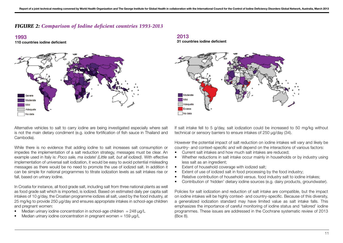## *FIGURE 2: Comparison of Iodine deficient countries 1993-2013*

### **1993**

**110 countries iodine deficient**



Alternative vehicles to salt to carry iodine are being investigated especially where salt is not the main dietary condiment (e.g. iodine fortification of fish sauce in Thailand and Cambodia).

While there is no evidence that adding iodine to salt increases salt consumption or impedes the implementation of a salt reduction strategy, messages must be clear. An example used in Italy is: *Poco sale, ma iodate! (Little salt, but all iodized)*. With effective implementation of universal salt iodization, it would be easy to avoid potential misleading messages as there would be no need to promote the use of iodized salt. In addition it can be simple for national programmes to titrate iodization levels as salt intakes rise or fall, based on urinary iodine.

In Croatia for instance, all food grade salt, including salt from three national plants as well as food grade salt which is imported, is iodized. Based on estimated daily per capita salt intakes of 10 g/day, the Croatian programme iodizes all salt, used by the food industry, at 25 mg/kg to provide 250 μg/day and ensures appropriate intakes in school-age children and pregnant women:

- $\mu$ edian urinary iodine concentration in school-age children = 248 μg/L
- Median urinary iodine concentration in pregnant women =  $159 \mu g/L$

## **2013**

**31 countries iodine deficient**



If salt intake fell to 5 g/day, salt iodization could be increased to 50 mg/kg without technical or sensory barriers to ensure intakes of 250 μg/day (34).

However the potential impact of salt reduction on iodine intakes will vary and likely be country- and context-specific and will depend on the interactions of various factors:

- Current salt intakes and how much salt intakes are reduced;
- Whether reductions in salt intake occur mainly in households or by industry using less salt as an ingredient;
- Extent of household coverage with iodized salt;
- Extent of use of iodized salt in food processing by the food industry;
- Relative contribution of household versus. food industry salt to iodine intakes;
- Contribution of 'hidden' dietary iodine sources (e.g. dairy products, groundwater).

Policies for salt iodization and reduction of salt intake are compatible, but the impact on iodine intakes will be highly context- and country-specific. Because of this diversity, a generalized iodization standard may have limited value as salt intake falls. This emphasizes the importance of careful monitoring of iodine status and 'tailored' iodine programmes. These issues are addressed in the Cochrane systematic review of 2013 (Box 8).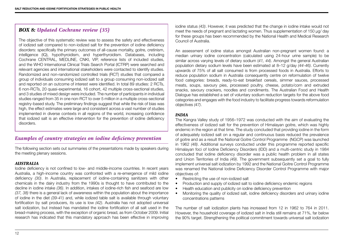## *BOX 8: Updated Cochrane review (35)*

The objective of this systematic review was to assess the safety and effectiveness of iodized salt compared to non-iodized salt for the prevention of iodine deficiency disorders: specifically the primary outcomes of all-cause mortality, goitre, cretinism, intelligence (IQ), hypothyroidism, and hyperthyroidism. Databases, including Cochrane CENTRAL, MEDLINE, CNKI, VIP, reference lists of included studies, and the WHO International Clinical Trials Search Portal (ICTRP) were searched and relevant agencies and international stakeholders were contacted to identify studies. Randomized and non-randomized controlled trials (RCT) studies that compared a group of individuals consuming iodized salt to a group consuming non-iodized salt and reported on an outcome of interest were identified. In total 89 studies: 2 RCTs, 6 non-RCTs, 20 quasi-experimental, 16 cohort, 42 multiple cross-sectional studies, and 3 studies of mixed design were included. The number of participants in individual studies ranged from 35 in one non-RCT to over 5 million in a multiple cross-sectional registry-based study. The preliminary findings suggest that while the risk of bias was high, the effect estimates were large and consistent across a vast number of studies implemented in diverse contexts in all regions of the world, increasing confidence that iodized salt is an effective intervention for the prevention of iodine deficiency disorders.

## *Examples of country strategies on iodine deficiency prevention*

The following section sets out summaries of the presentations made by speakers during the meeting plenary sessions.

### *AUSTRALIA*

Iodine deficiency is not confined to low- and middle-income countries. In recent years Australia, a high-income country was confronted with a re-emergence of mild iodine deficiency *(30)*. In Australia, replacement of iodine-containing sanitizers with other chemicals in the dairy industry from the 1990s is thought to have contributed to the decline in iodine intake *(36)*. In addition, intakes of iodine-rich fish and seafood are low *(37, 38)* there is a general lack of awareness within the population about the importance of iodine in the diet *(39-41)* and, while iodized table salt is available through voluntary fortification by salt producers, its use is low *(42)*. Australia has not adopted universal salt iodization, but instead has mandated the iodine fortification of all salt used in the bread-making process, with the exception of organic bread, as from October 2009. Initial research has indicated that this mandatory approach has been effective in improving iodine status *(43)*. However, it was predicted that the change in iodine intake would not meet the needs of pregnant and lactating women. Thus supplementation of 150 µg/ day for these groups has been recommended by the National Health and Medical Research Council of Australia.

An assessment of iodine status amongst Australian non-pregnant women found: a median urinary iodine concentration (calculated using 24-hour urine sample) to be similar across varying levels of dietary sodium (*41, 44)*. Amongst the general Australian population dietary sodium levels have been estimated at 8–12 g/day *(44-46)*. Currently upwards of 75% of all salt consumed is from processed foods in Australia. Efforts to reduce population sodium in Australia consequently centre on reformulation of twelve food categories: breads, ready-to-eat breakfast cereals, simmer sauces, processed meats, soups, savoury pies, processed poultry, cheese, potato/corn and extruded snacks, savoury crackers, noodles and condiments. The Australian Food and Health Dialogue has established a set of voluntary sodium reduction targets for the above food categories and engages with the food industry to facilitate progress towards reformulation objectives *(47)*.

### *INDIA*

The Kangra Valley study of 1956–1972 was conducted with the aim of evaluating the effectiveness of iodized salt for the prevention of Himalayan goitre, which was highly endemic in the region at that time. The study concluded that providing iodine in the form of adequately iodized salt on a regular and continuous basis reduced the prevalence of goitre and as a result the National Goitre Control Programme (NGCP) was launched in 1962 *(48)*. Additional surveys conducted under this programme reported specific Himalayan foci of Iodine Deficiency Disorders (IDD) and a multi-centric study in 1984 concluded that iodine deficiency disorder was a public health problem in all states and Union Territories of India *(49)*. The government subsequently set a goal to fully implement universal salt iodization by 1992 and the National Goitre Control Programme was renamed the National Iodine Deficiency Disorder Control Programme with major objectives of:

- Restricting the use of non-iodized salt
- Production and supply of iodized salt to iodine deficiency endemic regions
- Health education and publicity on iodine deficiency prevention
- Monitoring the quality of iodized salt, iodine deficiency disorders and urinary iodine concentrations patterns

The number of salt iodization plants has increased from 12 in 1962 to 764 in 2011. However, the household coverage of iodized salt in India still remains at 71%, far below the 90% target. Strengthening the political commitment towards universal salt iodization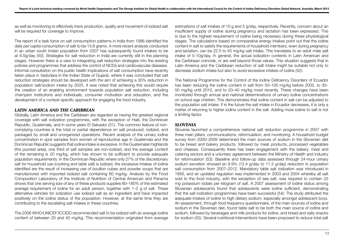as well as monitoring to effectively track production, quality and movement of iodized salt will be required for coverage to improve.

The report of a task force on salt consumption patterns in India from 1996 identified the daily per capita consumption of salt to be 13.8 grams. A more recent analysis conducted in an urban south Indian population from 2007 has subsequently found intakes to be at 8.5g/day *(50)*. Strategies for salt reduction in India are currently still in the planning stages. However there is a view to integrating salt reduction strategies into the existing policies and programmes that address the control of NCDs and cardiovascular diseases. Informal consultation on the public health implications of salt consumption have recently taken place in Vadodara in the Indian State of Gujarat, where it was concluded that salt reduction strategies should be developed with the aim of achieving a 30% reduction in population salt/sodium intake by 2025. It was noted that achieving this would require the creation of an enabling environment towards population salt reduction, including champion institutions and individuals, consumer motivation and education, and the development of a context-specific approach for engaging the food industry.

### *LATIN AMERICA AND THE CARIBBEAN*

Globally, Latin America and the Caribbean are regarded as having the greatest regional coverage with salt iodization programmes, with the exception of Haiti, the Dominican Republic, Guatemala, and in some years El Salvador *(51)*. The common feature of noncomplying countries is the total or partial dependence on salt produced, iodized, and packaged by small and unorganized operations. Recent analysis of the urinary iodine concentration in spot samples from women of reproductive age in Guatemala and the Dominican Republic suggests that iodine intake is excessive. In the Guatemalan highlands (the poorest area), one third of salt samples are non-iodized, and the average content of the remaining is 20 mg/kg, which has shown to be sufficient to provide adequate population requirements. In the Dominican Republic where only 27% of the discretionary salt for household use (cooking and table salt) is iodized, the excessive intakes of iodine identified are the result of increasing use of bouillon cubes and powder soups that are manufactured with imported iodized salt containing 60 mg/kg. Analysis by the Food Composition Laboratory of the Institute of Nutrition of Central American and Panama shows that one serving size of any of these products supplies 80–180% of the estimated average requirement of iodine for an adult person, together with 1–2 g of salt. These alternative vehicles for iodization use iodized salt as an ingredient and have impacted positively on the iodine status of the population. However, at the same time they are contributing to the escalating salt intakes in these countries.

The 2006 WHO/UNICEF/ICCIDD recommended salt to be iodized with an average iodine content of between 20 and 40 mg/kg. This recommendation originated from average

estimations of salt intakes of 10 g and 5 g/day, respectively. Recently, concern about an insufficient supply of iodine during pregnancy and lactation has been expressed. This is due to the highest requirement of iodine being necessary during these physiological stages. The calculations based on comparative energy intakes point out that the iodine content in salt to satisfy the requirements of household members, even during pregnancy and lactation, can be 22.5 to 45 mg/kg salt intake. This translates to an adult male salt intake of 5-10g/day. In general, the actual iodization contents in Latin American and the Caribbean coincide, or are well beyond those values. This situation suggests that in Latin America and the Caribbean reduction of salt intake might be suitable not only to decrease sodium intake but also to avoid excessive intakes of iodine *(52)*.

The National Programme for the Control of the Iodine Deficiency Disorders of Ecuador has been reducing the iodine content in salt from 50–100 mg/kg before 2002, to 30– 50 mg/kg until 2010, and to 20–40 mg/kg most recently. These changes have been monitored through annual and national determinations of urinary iodine concentrations on school-age children. This demonstrates that iodine content in salt can be adjusted to the population salt intake. If in the future the salt intake in Ecuador decreases, it is only a matter of returning to higher iodine content in the salt. Adding more iodine to salt is not a limiting factor.

### *SLOVENIA*

Slovenia launched a comprehensive national salt reduction programme in 2007 with three main pillars: communications, reformulation, and monitoring. A household budget survey from 2000–2009 determined the main sources of sodium in the Slovenian diet to be bread and bakery products, followed by meat products, processed vegetables and cheeses. Consequently there has been engagement with the bakery, meat and catering sectors and a voluntary agreement between the Ministry of Health and industry for reformulation *(53)*. Baseline and follow-up data assessed through 24-hour urinary sodium excretion showed an 8.9% (12.4 g/day to 11.3 g/day) reduction in population salt consumption from 2007–2012. Mandatory table salt iodization was introduced in 1956, and an updated regulation was implemented in 2003 and 2004 whereby all salt sold to the food industry, with the exception of sea salt, was required to contain 25 mg potassium iodate per kilogram of salt. A 2007 assessment of iodine status among Slovenian adolescents found that adolescents were iodine sufficient, demonstrating that the salt iodization programmes have been successful *(54)*. The study attributed the adequate intakes of iodine to high dietary sodium, especially amongst adolescent boys. An assessment, through food frequency questionnaire, of the main sources of iodine and sodium in the Slovenian diet, found table salt to be both the main source of iodine and sodium, followed by beverages and milk products for iodine, and bread and salty snacks for sodium *(55)*. Several nutritional interventions have been proposed to reduce total salt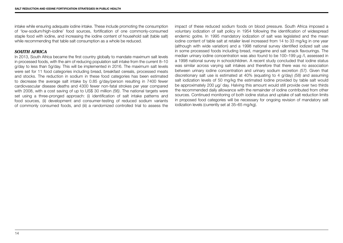intake while ensuring adequate iodine intake. These include promoting the consumption of 'low-sodium/high-iodine' food sources, fortification of one commonly-consumed staple food with iodine, and increasing the iodine content of household salt (table salt) while recommending that table salt consumption as a whole be reduced.

### *SOUTH AFRICA*

In 2013, South Africa became the first country globally to mandate maximum salt levels in processed foods, with the aim of reducing population salt intake from the current 8–10 g/day to less than 5g/day. This will be implemented in 2016. The maximum salt levels were set for 11 food categories including bread, breakfast cereals, processed meats and stocks. The reduction in sodium in these food categories has been estimated to decrease the average salt intake by 0.85 g/day/person resulting in 7400 fewer cardiovascular disease deaths and 4300 fewer non-fatal strokes per year compared with 2008, with a cost saving of up to US\$ 30 million *(56)*. The national targets were set using a three-pronged approach: (i) identification of salt intake patterns and food sources, (ii) development and consumer-testing of reduced sodium variants of commonly consumed foods, and (iii) a randomized controlled trial to assess the impact of these reduced sodium foods on blood pressure. South Africa imposed a voluntary iodization of salt policy in 1954 following the identification of widespread endemic goitre. In 1995 mandatory iodization of salt was legislated and the mean iodine content of table salt at retailer level increased from 14 to 33 mg/kg in one year (although with wide variation) and a 1998 national survey identified iodized salt use in some processed foods including bread, margarine and salt snack flavourings. The median urinary iodine concentration was also found to be 100–199 µg /l, assessed in a 1998 national survey in schoolchildren. A recent study concluded that iodine status was similar across varying salt intakes and therefore that there was no association between urinary iodine concentration and urinary sodium excretion *(57)*. Given that discretionary salt use is estimated at 40% (equating to 4 g/day) *(58)* and assuming salt iodization levels of 50 mg/kg the estimated Iodine provided by table salt would be approximately 200 μg/ day. Halving this amount would still provide over two thirds the recommended daily allowance with the remainder of iodine contributed from other sources. Continued monitoring of both iodine status and uptake of salt reduction limits in proposed food categories will be necessary for ongoing revision of mandatory salt iodization levels (currently set at 35–65 mg/kg).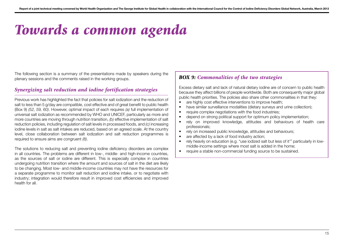# *Towards a common agenda*

The following section is a summary of the presentations made by speakers during the plenary sessions and the comments raised in the working groups.

## *Synergizing salt reduction and iodine fortification strategies*

Previous work has highlighted the fact that policies for salt iodization and the reduction of salt to less than 5 g/day are compatible, cost effective and of great benefit to public health (Box 9) *(52, 59, 60)*. However, optimal impact of each requires *(a)* full implementation of universal salt iodization as recommended by WHO and UNICEF, particularly as more and more countries are moving through nutrition transition, *(b)* effective implementation of salt reduction policies, including regulation of salt levels in processed foods, and *(c)* increasing iodine levels in salt as salt intakes are reduced, based on an agreed scale. At the country level, close collaboration between salt iodization and salt reduction programmes is required to ensure aims are congruent *(8)*.

The solutions to reducing salt and preventing iodine deficiency disorders are complex in all countries. The problems are different in low-, middle- and high-income countries, as the sources of salt or iodine are different. This is especially complex in countries undergoing nutrition transition where the amount and sources of salt in the diet are likely to be changing. Most low- and middle-income countries may not have the resources for a separate programme to monitor salt reduction and iodine intake, or to negotiate with industry; integration would therefore result in improved cost efficiencies and improved health for all.

## *BOX 9: Commonalities of the two strategies*

Excess dietary salt and lack of natural dietary iodine are of concern to public health because they affect billions of people worldwide. Both are consequently major global public health priorities. The policies also share other commonalities in that they:

- are highly cost effective interventions to improve health;
- have similar surveillance modalities (dietary surveys and urine collection);
- require complex negotiations with the food industries:
- depend on strong political support for optimum policy implementation;
- rely on improved knowledge, attitudes and behaviours of health care professionals;
- rely on increased public knowledge, attitudes and behaviours;
- are affected by a lack of food industry action:
- rely heavily on education (e.g. "use iodized salt but less of it'" particularly in lowmiddle-income settings where most salt is added in the home;
- require a stable non-commercial funding source to be sustained.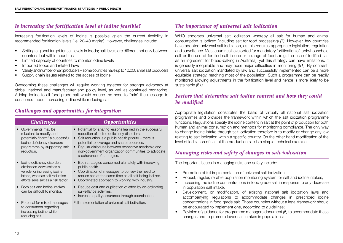## *Is increasing the fortification level of iodine feasible?*

Increasing fortification levels of iodine is possible given the current flexibility in recommended fortification levels (i.e. 20–40 mg/kg). However, challenges include:

- Setting a global target for salt levels in foods; salt levels are different not only between countries but within countries
- Limited capacity of countries to monitor iodine levels
- Imported foods and related laws
- Variety and number of salt producers some countries have up to 10,000 small salt producers
- Supply chain issues related to the access of iodine

Overcoming these challenges will require working together for stronger advocacy at global, national and manufacturer and policy level, as well as continued monitoring. Adding iodine to all food grade salt would reduce the need to "mix" the message to consumers about increasing iodine while reducing salt.

## *Challenges and opportunities for integration*

| <b>Challenges</b>                                                                                                                                                    | <i><b>Opportunities</b></i>                                                                                                                                                                                                                                                                                                                             |
|----------------------------------------------------------------------------------------------------------------------------------------------------------------------|---------------------------------------------------------------------------------------------------------------------------------------------------------------------------------------------------------------------------------------------------------------------------------------------------------------------------------------------------------|
| Governments may be<br>reluctant to modify and<br>potentially "harm" a successful<br>iodine deficiency disorders<br>programme by supporting salt<br>reduction.        | Potential for sharing lessons learned in the successful<br>reduction of iodine deficiency disorders.<br>Salt reduction is a public health priority $-$ there is<br>potential to leverage and share resources.<br>Regular dialogues between respective academic and<br>non-government organization communities to advocate<br>a coherence of strategies. |
| lodine deficiency disorders<br>elimination views salt as a<br>vehicle for increasing jodine<br>intake, whereas salt reduction<br>efforts sees salt as a risk factor. | Both strategies concerned ultimately with improving<br>public health.<br>• Coordination of messages to convey the need to<br>reduce salt at the same time as all salt being iodized.<br>Coordinated approach to working with industry.                                                                                                                  |
| Both salt and jodine intakes<br>can be difficult to monitor.                                                                                                         | Reduce cost and duplication of effort by co-ordinating<br>surveillance activities.<br>Increase quality assurance through coordination.                                                                                                                                                                                                                  |
| Potential for mixed messages<br>to consumers regarding<br>increasing iodine while<br>reducing salt.                                                                  | Full implementation of universal salt iodization.                                                                                                                                                                                                                                                                                                       |

## *The importance of universal salt iodization*

WHO endorses universal salt iodization whereby all salt for human and animal consumption is iodized (including salt for food processing) *(7)*. However, few countries have adopted universal salt iodization, as this requires appropriate legislation, regulation and surveillance. Most countries have opted for mandatory fortification of table/household salt or the use of fortified salt in one or a range of foods (e.g. the use of fortified salt as an ingredient for bread-baking in Australia), yet this strategy can have limitations. It is generally inequitable and may pose major difficulties in monitoring *(61)*. By contrast, universal salt iodization mandated by law and successfully implemented can be a more equitable strategy, reaching most of the population. Such a programme can be readily monitored allowing adjustments in the fortification level and hence is more likely to be sustainable *(61)*.

## *Factors that determine salt iodine content and how they could be modified*

Appropriate legislation constitutes the basis of virtually all national salt iodization programmes and provides the framework within which the salt iodization programme functions. Regulations specify the iodine content in salt at the point of production for both human and animal consumption and methods for monitoring compliance. The only way to change iodine intake through salt iodization therefore is to modify or change any law relating to salt iodization within a specific country. On the other hand modification of the level of iodization of salt at the production site is a simple technical exercise.

## *Managing risks and safety of changes in salt iodization*

The important issues in managing risks and safety include:

- Promotion of full implementation of universal salt iodization;
- Robust, regular, reliable population monitoring system for salt and iodine intakes;
- Increasing the iodine concentrations in food grade salt in response to any decrease in population salt intake;
- Development, or modification, of existing national salt iodization laws and accompanying regulations to accommodate changes in prescribed iodine concentrations in food grade salt. Those countries without a legal framework should be encouraged to implement one, according to guidelines;
- Revision of guidance for programme managers document *(6)* to accommodate these changes and to promote lower salt intakes in populations;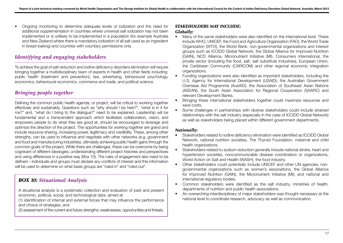• Ongoing monitoring to determine adequate levels of iodization and the need for additional supplementation in countries where universal salt iodization has not been implemented or is unlikely to be implemented in a population (for example Australia and New Zealand where there is mandatory iodization of all salt used as an ingredient in bread-baking) and countries with voluntary permissions only.

## *Identifying and engaging stakeholders*

To achieve the goal of salt reduction and iodine deficiency disorders elimination will require bringing together a multidisciplinary team of experts in health and other fields including: public health (treatment and prevention), law, advertising, behavioural psychology, economics, behavioural economics, commerce and trade, and political science.

## *Bringing people together*

Defining the common public health agenda, or project, will be critical to working together effectively and sustainably. Questions such as "why should I be here?", "what is in it for me?" and, "what do I bring to the dialogue?" need to be explained. Leadership will be fundamental and a transcendent approach which facilitates collaboration, vision, and empowers people to do what they are good at, should be encouraged to leverage and optimize the direction of the project. The opportunities for working together are grand and include resource-sharing, increasing power, legitimacy and credibility. These, among other strengths, can be used to influence and negotiate with other networks (e.g. government and food and manufacturing industries), ultimately achieving public health gains through the common goals of the project. While there are challenges, these can be overcome by being cognisant of different ideologies, understanding different project histories and perspectives and using differences in a positive way (Box 10). The rules of engagement also need to be defined – individuals and groups must declare any conflicts of interest and this information will be used to determine on what basis groups are "ruled in" and "ruled out".

## *BOX 10: Situational Analysis*

A situational analysis is a systematic collection and evaluation of past and present economic, political, social, and technological data, aimed at:

- (1) identification of internal and external forces that may influence the performance and choice of strategies; and
- (2) assessment of the current and future strengths, weaknesses, opportunities and threats.

## *STAKEHOLDERS MAY INCLUDE:*

### *Globally:*

- Many of the same stakeholders were also identified on the international level. These include WHO, UNICEF, the Food and Agriculture Organization (FAO), the World Trade Organization (WTO), the World Bank, non-governmental organizations and interest groups such as ICCIDD Global Network, the Global Alliance for Improved Nutrition (GAIN), NCD Alliance, Micronutrient Initiative (MI), Consumers International, the private sector (including the food, salt, salt substitute industries), European Union, the Caribbean Community (CARICOM) and other regional economic integration organizations.
- Funding organizations were also identified as important stakeholders, including the U.S. Agency for International Development (USAID), the Australian Government Overseas Aid Programme (AusAID), the Association of Southeast Asian Nations (ASEAN), the South Asian Association for Regional Cooperation (SAARC) and relevant Development Banks.
- Bringing these international stakeholders together could maximize resources and save costs.
- Some challenges in partnerships with diverse stakeholders could include strained relationships with the salt industry (especially in the case of ICCIDD Global Network) as well as stakeholders being placed within different government departments.

### *Nationally:*

- Stakeholders related to iodine deficiency elimination were identified as ICCIDD Global Network, national nutrition societies, The Thyroid Foundation, maternal and child health organizations.
- Stakeholders related to sodium reduction generally include national stroke, heart and hypertension societies, noncommunicable disease coordinators or organizations, World Action on Salt and Health (WASH), the food industry.
- Other stakeholders could potentially include UNICEF and other UN agencies, nongovernmental organizations such as women's associations, the Global Alliance for Improved Nutrition (GAIN), the Micronutrient Initiative (MI), and national and international regulatory bodies.
- Common stakeholders were identified as the salt industry, ministries of health, departments of nutrition and public health associations.
- An overarching interdisciplinary of major stakeholders was thought necessary at the national level to coordinate research, advocacy as well as communication.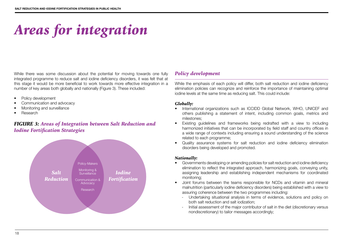# *Areas for integration*

While there was some discussion about the potential for moving towards one fully integrated programme to reduce salt and iodine deficiency disorders, it was felt that at this stage it would be more beneficial to work towards more effective integration in a number of key areas both globally and nationally (Figure 3). These included:

- Policy development
- Communication and advocacy
- Monitoring and surveillance
- Research

## *FIGURE 3: Areas of Integration between Salt Reduction and Iodine Fortification Strategies*



## *Policy development*

While the emphasis of each policy will differ, both salt reduction and iodine deficiency elimination policies can recognize and reinforce the importance of maintaining optimal iodine levels at the same time as reducing salt. This could include:

### *Globally:*

- International organizations such as ICCIDD Global Network, WHO, UNICEF and others publishing a statement of intent, including common goals, metrics and milestones;
- Existing guidelines and frameworks being redrafted with a view to including harmonized initiatives that can be incorporated by field staff and country offices in a wide range of contexts including ensuring a sound understanding of the science related to each programme;
- Quality assurance systems for salt reduction and iodine deficiency elimination disorders being developed and promoted.

### *Nationally:*

- Governments developing or amending policies for salt reduction and iodine deficiency elimination to reflect the integrated approach, harmonizing goals, conveying unity, assigning leadership and establishing independent mechanisms for coordinated monitoring;
- Joint forums between the teams responsible for NCDs and vitamin and mineral malnutrition (particularly iodine deficiency disorders) being established with a view to assuring coherence between the two programmes including:
	- Undertaking situational analysis in terms of evidence, solutions and policy on both salt reduction and salt iodization;
	- Initial assessment of the major contributor of salt in the diet (discretionary versus nondiscretionary) to tailor messages accordingly;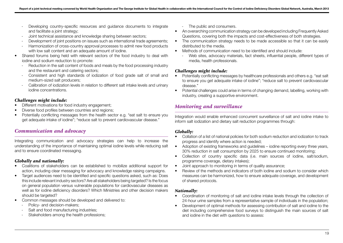- Developing country-specific resources and quidance documents to integrate and facilitate a joint strategy:
- Joint technical assistance and knowledge sharing between sectors;
- Development of joint positions on issues such as international trade agreements;
- Harmonization of cross-country approval processes to admit new food products with low salt content and an adequate amount of iodine.
- Shared forums being held with relevant sectors of the food industry to deal with iodine and sodium reduction to promote:
	- Reduction in the salt content of foods and meals by the food processing industry and the restaurant and catering sectors;
	- Consistent and high standards of iodization of food grade salt of small and medium-sized salt producers;
	- Calibration of iodization levels in relation to different salt intake levels and urinary iodine concentrations.

### *Challenges might include:*

- Different motivations for food industry engagement;
- Diverse food profiles between countries and regions;
- Potentially conflicting messages from the health sector e.g. "eat salt to ensure you get adequate intake of iodine"; "reduce salt to prevent cardiovascular disease."

### *Communication and advocacy*

Integrating communication and advocacy strategies can help to increase the understanding of the importance of maintaining optimal iodine levels while reducing salt and to ensure coordinated messaging.

### *Globally and nationally:*

- Coalitions of stakeholders can be established to mobilize additional support for action, including clear messaging for advocacy and knowledge raising campaigns.
- Target audiences need to be identified and specific questions asked, such as: Does this include relevant industry sectors? Are all stakeholders being targeted? Is the focus on general population versus vulnerable populations for cardiovascular diseases as well as for iodine deficiency disorders? Which Ministries and other decision makers should be targeted?
- Common messages should be developed and delivered to:
	- Policy- and decision-makers:
	- Salt and food manufacturing industries;
	- Stakeholders among the health professions;
- The public and consumers.
- An overarching communication strategy can be developed including Frequently Asked Questions, covering both the impacts and cost-effectiveness of both strategies.
- The communication strategy needs to be made accessible so that it can be easily distributed to the media.
- Methods of communication need to be identified and should include:
	- Web sites, advocacy materials, fact sheets, influential people, different types of media, health professionals.

### *Challenges might include:*

- Potentially conflicting messages by healthcare professionals and others e.g. "eat salt to ensure you get adequate intake of iodine"; "reduce salt to prevent cardiovascular disease."
- Potential challenges could arise in terms of changing demand, labelling, working with industry, creating a supportive environment.

## *Monitoring and surveillance*

Integration would enable enhanced concurrent surveillance of salt and iodine intake to inform salt iodization and dietary salt reduction programmes through:

### *Globally:*

- Collation of a list of national policies for both sodium reduction and iodization to track progress and identify where action is needed;
- Adoption of existing frameworks and guidelines iodine reporting every three years, 30% reduction in salt consumption by 2025 to ensure continued monitoring;
- Collection of country specific data (i.e. main sources of iodine, salt/sodium, programme coverage, dietary intakes);
- Joint approach to monitoring in terms of quality assurance;
- Review of the methods and indicators of both iodine and sodium to consider which measures can be harmonized, how to ensure adequate coverage, and development of shared protocols.

### *Nationally:*

- Coordination of monitoring of salt and iodine intake levels through the collection of 24-hour urine samples from a representative sample of individuals in the population;
- Development of optimal methods for assessing contribution of salt and iodine to the diet including comprehensive food surveys to distinguish the main sources of salt and iodine in the diet with questions to assess: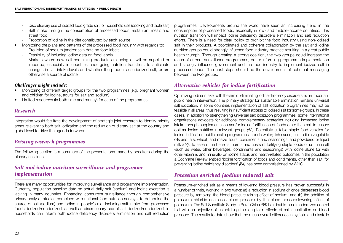- Discretionary use of iodized food grade salt for household use (cooking and table salt)
- Salt intake through the consumption of processed foods, restaurant meals and street food
- Proportion of iodine in the diet contributed by each source
- Monitoring the plans and patterns of the processed food industry with regards to:
	- Provision of sodium (and/or salt) data on food labels
	- Feasibility of including iodine data on food labels
	- Markets where new salt-containing products are being or will be supplied or imported, especially in countries undergoing nutrition transition, to anticipate changes in salt intake levels and whether the products use iodized salt, or are otherwise a source of iodine

### *Challenges might include:*

- Monitoring of different target groups for the two programmes (e.g. pregnant women and children for iodine, adults for salt and sodium)
- Limited resources (in both time and money) for each of the programmes

## *Research*

Integration would facilitate the development of strategic joint research to identify priority areas relevant to both salt iodization and the reduction of dietary salt at the country and global level to drive the agenda forwards.

### *Existing research programmes*

The following section is a summary of the presentations made by speakers during the plenary sessions.

## *Salt and iodine nutrition surveillance and programme implementation*

There are many opportunities for improving surveillance and programme implementation. Currently, population baseline data on actual daily salt (sodium) and iodine excretion is lacking in many countries. Enhancing concurrent surveillance through comprehensive urinary analysis studies combined with national food nutrition surveys, to determine the source of salt (sodium) and iodine in people's diet including salt intake from processed foods, iodized/non-iodized, as well as discretionary use of salt, iodized/non-iodized, in households can inform both iodine deficiency disorders elimination and salt reduction

programmes. Developments around the world have seen an increasing trend in the consumption of processed foods, especially in low- and middle-income countries. This nutrition transition will impact iodine deficiency disorders elimination and salt reduction efforts. There is a need for clear policy to prohibit the food industry using non-iodized salt in their products. A coordinated and coherent collaboration by the salt and iodine nutrition groups could strongly influence food industry practice resulting in a great public health triumph. Through creating a strong coalition, the two groups could increase the reach of current surveillance programmes, better informing programme implementation and strongly influence government and the food industry to implement iodized salt in processed foods. The next steps should be the development of coherent messaging between the two groups.

## *Alternative vehicles for iodine fortification*

Optimizing iodine intake, with the aim of eliminating iodine deficiency disorders, is an important public health intervention. The primary strategy for sustainable elimination remains universal salt iodization. In some countries implementation of salt iodization programmes may not be feasible in all areas, thus resulting in insufficient access to iodized salt for some groups. In these cases, in addition to strengthening universal salt iodization programmes, some international organizations advocate for additional complementary strategies including increased iodine intake through supplementation and/or iodine fortification of foods other than salt to ensure optimal iodine nutrition in relevant groups *(62)*. Potentially suitable staple food vehicles for iodine fortification public health programmes include water; fish sauce; rice; edible vegetable oils and fats; wheat, and maize flours; condiments and seasonings; and powdered or liquid milk *(63)*. To assess the benefits, harms and costs of fortifying staple foods other than salt (such as water, other beverages, condiments and seasonings) with iodine alone (or with other vitamins and minerals) on iodine status and health-related outcomes in the population a Cochrane Review entitled 'Iodine fortification of foods and condiments, other than salt, for preventing iodine deficiency disorders' *(64)* has been commissioned by WHO.

## *Potassium enriched (sodium reduced) salt*

Potassium-enriched salt as a means of lowering blood pressure has proven successful in a number of trials, working in two ways: (a) a reduction in sodium chloride decreases blood pressure by removing the blood pressure-raising effect of sodium; and (b) the addition of potassium chloride decreases blood pressure by the blood pressure-lowering effect of potassium. The Salt Substitute Study in Rural China *(65)* is a double-blind randomized control trial with an objective of establishing the long-term effects of salt substitution on blood pressure. The results to date show that the mean overall difference in systolic and diastolic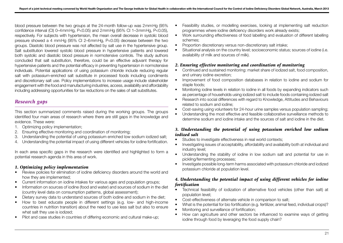blood pressure between the two groups at the 24-month follow-up was 2mmHg (95% confidence interval (CI) 0–4mmHg, P<0.05) and 2mmHg (95% CI 1–3mmHg, P<0.05), respectively. For subjects with hypertension, the mean overall decrease in systolic blood pressure showed a 4 mmHg (95% CI 2–6mmHg, P<0.05) decrease between the two groups. Diastolic blood pressure was not affected by salt use in the hypertensive group. Salt substitution lowered systolic blood pressure in hypertensive patients and lowered both systolic and diastolic blood pressure in normotensive controls. The study authors concluded that salt substitution, therefore, could be an effective adjuvant therapy for hypertensive patients and the potential efficacy in preventing hypertension in normotensive individuals. Potential applications of using potassium chloride include reducing regular salt with potassium-enriched salt substitute in processed foods including condiments and discretionary salt use. Policy implementations to increase usage include stakeholder engagement with the food and manufacturing industries, access, availability and affordability including addressing opportunities for tax reductions on the sales of salt substitutes.

## *Research gaps*

This section summarized comments raised during the working groups. The groups identified four main areas of research where there are still gaps in the knowledge and evidence. These were:

- 1. Optimizing policy implementation;
- 2. Ensuring effective monitoring and coordination of monitoring;
- 3. Understanding the potential of using potassium enriched low sodium iodized salt;
- 4. Understanding the potential impact of using different vehicles for iodine fortification.

In each area specific gaps in the research were identified and highlighted to form a potential research agenda in this area of work.

### *1. Optimizing policy implementation*

- Review policies for elimination of iodine deficiency disorders around the world and how they are implemented;
- Current information on iodine intakes for various ages and population groups;
- Information on sources of iodine (food and water) and sources of sodium in the diet (country level data on consumption patterns, global assessment);
- Dietary survey data to understand sources of both iodine and sodium in the diet;
- How to best educate people in different settings (e.g. low- and high-income countries in nutrition transition) about the need to use less salt but also to ensure what salt they use is iodized;
- Pilot and case studies in countries of differing economic and cultural make-up;
- Feasibility studies, or modelling exercises, looking at implementing salt reduction programmes where iodine deficiency disorders work already exists;
- Work surrounding effectiveness of food labelling and evaluation of different labelling schemes;
- Proportion discretionary versus non-discretionary salt intake;
- Situational analysis on the country level; socioeconomic status; sources of iodine (i.e. availability of milk and sources of milk).

### *2. Ensuring effective monitoring and coordination of monitoring*

- Continued and sustained monitoring: market share of iodized salt, food composition, and urinary iodine excretion;
- Improvement of food composition databases in relation to iodine and sodium for staple foods;
- Monitoring iodine levels in relation to iodine in all foods by expanding indicators such as percentage of households using iodized salt to include foods containing iodized salt
- Research into social differences with regard to Knowledge, Attitudes and Behaviours related to sodium and iodine;
- Cost-saving using volunteers for 24-hour urine samples versus population sampling;
- Understanding the most effective and feasible collaborative surveillance methods to determine sodium and iodine intake and the sources of salt and iodine in the diet.

### *3. Understanding the potential of using potassium enriched low sodium iodized salt*

- Studies to investigate effectiveness in real world contexts;
- Investigating issues of acceptability, affordability and availability both at individual and industry level;
- Understanding the stability of iodine in low sodium salt and potential for use in pickling/fermenting processes;
- Investigate possible long-term harms associated with potassium chloride and iodized potassium chloride at population level.

### *4. Understanding the potential impact of using different vehicles for iodine fortification*

- Technical feasibility of iodization of alternative food vehicles (other than salt) at population level;
- Cost-effectiveness of alternate vehicle in comparison to salt;
- What is the potential for bio fortification (e.g. fertilizer, animal feed, individual crops)?
- Monitoring and surveillance of fortification;
- How can agriculture and other sectors be influenced to examine ways of getting iodine through food by leveraging the food supply chain?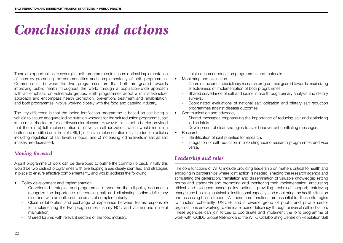# *Conclusions and actions*

There are opportunities to synergize both programmes to ensure optimal implementation of each by promoting the commonalities and complementarity of both programmes. Commonalities between the two programmes are that both are geared towards improving public health throughout the world through a population-wide approach with an emphasis on vulnerable groups. Both programmes adopt a multistakeholder approach and encompass health promotion, prevention, treatment and rehabilitation, and both programmes involve working closely with the food and catering industry.

The key difference is that the iodine fortification programme is based on salt being a vehicle to assure adequate iodine nutrition whereas for the salt reduction programme, salt is the main risk factor for cardiovascular disease. However this is not a barrier provided that there is a) full implementation of universal salt iodization (which would require a better and modified definition of USI); b) effective implementation of salt reduction policies including regulation of salt levels in foods; and c) increasing iodine levels in salt as salt intakes are decreased.

## *Moving forward*

A joint programme of work can be developed to outline the common project. Initially this would be two distinct programmes with overlapping areas clearly identified and strategies in place to ensure effective complementarity, and would address the following:

- Policy development and implementation
	- Coordinated strategies and programmes of work so that all policy documents recognize the importance of reducing salt and eliminating iodine deficiency disorders with an outline of the areas of complementarity;
	- Close collaboration and exchange of experience between teams responsible for implementing the two programmes (usually NCD and vitamin and mineral malnutrition);
	- Shared forums with relevant sectors of the food industry;
- Joint consumer education programmes and materials.
- Monitoring and evaluation
	- Coordinated cross-disciplinary research programmes geared towards maximizing effectiveness of implementation of both programmes;
	- Shared surveillance of salt and iodine intake through urinary analysis and dietary surveys;
	- Coordinated evaluations of national salt iodization and dietary salt reduction programmes against disease outcomes.
- Communication and advocacy
	- Shared messages emphasizing the importance of reducing salt and optimizing iodine intake;
	- Development of clear strategies to avoid inadvertent conflicting messages.
- Research
	- Identification of joint priorities for research;
	- Integration of salt reduction into existing iodine research programmes and vice versa.

## *Leadership and roles*

The core functions of WHO include providing leadership on matters critical to health and engaging in partnerships where joint action is needed; shaping the research agenda and stimulating the generation, translation and dissemination of valuable knowledge; setting norms and standards and promoting and monitoring their implementation; articulating ethical and evidence-based policy options; providing technical support; catalyzing change and building sustainable institutional capacity; and monitoring the health situation and assessing health trends . All these core functions are essential for these strategies to function coherently. UNICEF and a diverse group of public and private sector organizations are working to eliminate iodine deficiency through universal salt iodization. These agencies can join forces to coordinate and implement the joint programme of work with ICCIDD Global Network and the WHO Collaborating Centre on Population Salt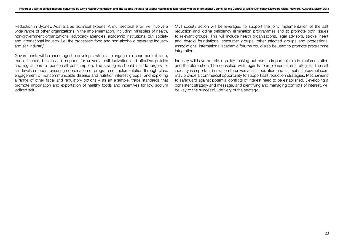Reduction in Sydney, Australia as technical experts. A multisectoral effort will involve a wide range of other organizations in the implementation, including ministries of health, non-government organizations, advocacy agencies, academic institutions, civil society and international industry (i.e. the processed food and non-alcoholic beverage industry and salt industry).

Governments will be encouraged to develop strategies to engage all departments (health, trade, finance, business) in support for universal salt iodization and effective policies and regulations to reduce salt consumption. The strategies should include targets for salt levels in foods; ensuring coordination of programme implementation through close engagement of noncommunicable disease and nutrition interest groups; and exploring a range of other fiscal and regulatory options – as an example, trade standards that promote importation and exportation of healthy foods and incentives for low sodium iodized salt.

Civil society action will be leveraged to support the joint implementation of the salt reduction and iodine deficiency elimination programmes and to promote both issues to relevant groups. This will include health organizations, legal advisors, stroke, heart and thyroid foundations, consumer groups, other affected groups and professional associations. International academic forums could also be used to promote programme integration.

Industry will have no role in policy-making but has an important role in implementation and therefore should be consulted with regards to implementation strategies. The salt industry is important in relation to universal salt iodization and salt substitutes/replacers may provide a commercial opportunity to support salt reduction strategies. Mechanisms to safeguard against potential conflicts of interest need to be established. Developing a consistent strategy and message, and identifying and managing conflicts of interest, will be key to the successful delivery of the strategy.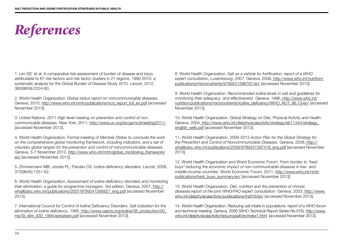# *References*

1. Lim SS et al. A comparative risk assessment of burden of disease and injury attributable to 67 risk factors and risk factor clusters in 21 regions, 1990-2010: a systematic analysis for the Global Burden of Disease Study 2010. *Lancet*, 2012, 380(9859):2224-60.

2. World Health Organization. *Global status report on noncommunicable diseases*. Geneva, 2010, http://www.who.int/nmh/publications/ncd\_report\_full\_en.pdf [accessed November 2013].

3. United Nations. *2011 High level meeting on prevention and control of noncommunicable diseases*. New York, 2011, http://www.un.org/en/ga/ncdmeeting2011/ [accessed November 2013].

4. World Health Organization. *Formal meeting of Member States to conclude the work on the comprehensive global monitoring framework, including indicators, and a set of voluntary global targets for the prevention and control of noncommunicable diseases*. Geneva, 5-7 November 2012, http://www.who.int/nmh/global\_monitoring\_framework/ en/ [accessed November 2013].

5. Zimmermann MB, Jooste PL, Pandav CS. Iodine-deficiency disorders. *Lancet*, 2008, 372(9645):1251-62.

6. World Health Organization. *Assessment of iodine deficiency disorders and monitoring their elimination: a guide for programme managers*. 3rd edition, Geneva, 2007, http:// whqlibdoc.who.int/publications/2007/9789241595827\_eng.pdf [accessed November 2013].

7. International Council for Control of Iodine Deficiency Disorders. *Salt iodization for the elimination of iodine deficiency*, 1995, http://www.ceecis.org/iodine/08\_production/00\_ mp/SI\_elim\_IDD\_1994venkatesh.pdf [accessed November 2013].

8. World Health Organization. *Salt as a vehicle for fortification: report of a WHO expert consultation, Luxembourg, 2007*. Geneva, 2008, http://www.who.int/nutrition/ publications/micronutrients/9789241596787/en/ [accessed November 2013].

9. World Health Organization. *Recommended iodine levels in salt and guidelines for monitoring their adequacy and effectiveness*. Geneva, 1996, http://www.who.int/ nutrition/publications/micronutrients/iodine\_deficiency/WHO\_NUT\_96.13/en/ [accessed November 2013].

10. World Health Organization. Global Strategy on Diet, Phyiscal Activity and Health. Geneva, 2004, http://www.who.int/dietphysicalactivity/strategy/eb11344/strategy\_ english\_web.pdf [accessed November 2013].

11. World Health Organization. 2008-2013 *Action Plan for the Global Strategy for the Prevention and Control of Noncommunicable Diseases*. Geneva, 2008, http:// whqlibdoc.who.int/publications/2009/9789241597418\_eng.pdf [accessed November 2013].

12. World Health Organization and World Economic Forum. *From burden to "best buys":reducing the economic impact of non-communicable diseases in low- and middle-income countries*. World Economic Forum, 2011, http://www.who.int/nmh/ publications/best\_buys\_summary/en/ [accessed November 2013].

13. World Health Organization. *Diet, nutrition and the prevention of chronic diseases:report of the joint WHO/FAO expert consultation*. Geneva, 2003, http://www. who.int/dietphysicalactivity/publications/trs916/en/ [accessed November 2013].

14. World Health Organization. *Reducing salt intake in populations: report of a WHO forum and technical meeting*. Geneva, 2006 (WHO Technical Report Series No.916), http://www. who.int/dietphysicalactivity/reducingsalt/en/index1.html [accessed November 2013].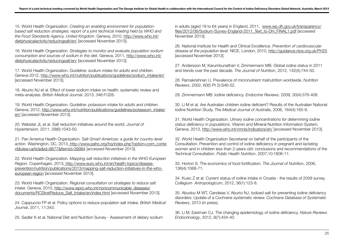15. World Health Organization. *Creating an enabling environment for populationbased salt reduction strategies: report of a joint technical meeting held by WHO and the Food Standards Agency, United Kingdom*. Geneva, 2010, http://www.who.int/ dietphysicalactivity/reducingsalt/en/ [accessed November 2013].

16. World Health Organization. *Strategies to monitor and evaluate population sodium consumption and sources of sodium in the die*t. Geneva, 2011, http://www.who.int/ dietphysicalactivity/reducingsalt/en/ [accessed November 2013].

17. World Health Organization. *Guideline: sodium intake for adults and children.* Geneva 2012, http://www.who.int/nutrition/publications/guidelines/sodium\_intake/en/ [accessed November 2013].

18. Aburto NJ et al. Effect of lower sodium intake on health: systematic review and meta-analyses. *British Medical Journal*. 2013, 346:f1326.

19. World Health Organization. *Guideline: potassium intake for adults and children*. Geneva, 2012, http://www.who.int/nutrition/publications/guidelines/potassium\_intake/ en/ [accessed November 2013].

20. Webster JL et al. Salt reduction initiatives around the world. *Journal of Hypertension*, 2011, 29(6):1043-50.

21. Pan America Health Organization. *Salt-Smart Americas: a guide for country-level action*. Washington, DC, 2013, http://www.paho.org/hq/index.php?option=com\_conte nt&view=article&id=8677&Itemid=39984 [accessed November 2013].

22. World Health Organization. *Mapping salt reduction initiatives in the WHO European Region*. Copenhagen, 2013, http://www.euro.who.int/en/health-topics/diseaseprevention/nutrition/publications/2013/mapping-salt-reduction-initiatives-in-the-whoeuropean-region [accessed November 2013].

23. World Health Organization. *Regional consultation on strategies to reduce salt intake*. Geneva, 2010, http://www.wpro.who.int/noncommunicable\_diseases/ documents/RCStratReduce\_Salt\_Intake/en/index.html [accessed November 2013].

24. Cappuccio FP et al. Policy options to reduce population salt intake. *British Medical Journal*, 2011, 11:343.

25. Sadler K et al. National Diet and Nutrition Survey - Assessment of dietary sodium

in adults (aged 19 to 64 years) in England, 2011, www.wp.dh.gov.uk/transparency/ files/2012/06/Sodium-Survey-England-2011\_Text\_to-DH\_FINAL1.pdf [accessed November 2013].

26. National Institute for Health and Clinical Excellence. *Prevention of cardiovascular disease at the population level*. NICE, London, 2010, http://guidance.nice.org.uk/PH25 [accessed November 2013].

27. Andersson M, Karumbunathan V, Zimmermann MB. Global iodine status in 2011 and trends over the past decade. *The Journal of Nutrition*, 2012, 142(4):744-50.

28. Ramakrishnan U. Prevalence of micronutrient malnutrition worldwide. *Nutrition Reviews*, 2002, 60(5 Pt 2):S46-52.

29. Zimmermann MB. Iodine deficiency. *Endocrine Reviews*. 2009, 30(4):376-408.

30. Li M et al. Are Australian children iodine deficient? Results of the Australian National Iodine Nutrition Study. *The Medical Journal of Australia*, 2006, 184(4):165-9.

31. World Health Organization. *Urinary iodine concentrations for determining iodine status deficiency in populations*. Vitamin and Mineral Nutrition Information System, Geneva, 2013, http://www.who.int/vmnis/indicators/en/ [accessed November 2013].

32. World Health Organization Secretariat on behalf of the participants of the Consultation. Prevention and control of iodine deficiency in pregnant and lactating women and in children less than 2-years-old: conclusions and recommendations of the Technical Consultation. *Public Health Nutrition*, 2007;10:1606-11.

33. Horton S. The economics of food fortification. *The Journal of Nutrition*, 2006, 136(4):1068-71.

34. Kusic Z et al. Current status of iodine intake in Croatia - the results of 2009 survey. *Collegium Antropologicum*, 2012, 36(1):123-8.

35. Abudou M WT, Candeias V, Aburto NJ. Iodized salt for preventing iodine deficiency disorders: Update of a Cochrane systematic review. *Cochrane Database of Systematic Reviews*, 2013 (in press).

36. Li M, Eastman CJ. The changing epidemiology of iodine deficiency. *Nature Reviews Endocrinology*, 2012, 8(7):434-40.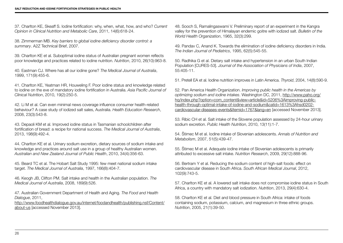37. Charlton KE, Skeaff S. Iodine fortification: why, when, what, how, and who? *Current Opinion in Clinical Nutrition and Metabolic Care*, 2011, 14(6):618-24.

38. Zimmerman MB. *Key barriers to global iodine deficiency disorder control: a summary*. A2Z Technical Brief, 2007.

39. Charlton KE et al. Suboptimal iodine status of Australian pregnant women reflects poor knowledge and practices related to iodine nutrition. *Nutrition*, 2010, 26(10):963-8.

40. Eastman CJ. Where has all our iodine gone? *The Medical Journal of Australia*, 1999, 171(9):455-6.

41. Charlton KE, Yeatman HR, Houweling F. Poor iodine status and knowledge related to iodine on the eve of mandatory iodine fortification in Australia. *Asia Pacific Journal of Clinical Nutrition*, 2010, 19(2):250-5.

42. Li M et al. Can even minimal news coverage influence consumer health-related behaviour? A case study of iodized salt sales, Australia. *Health Education Research*, 2008, 23(3):543-8.

43. Depaoli KM et al. Improved iodine status in Tasmanian schoolchildren after fortification of bread: a recipe for national success. *The Medical Journal of Australia*, 2013, 198(9):492-4.

44. Charlton KE et al. Urinary sodium excretion, dietary sources of sodium intake and knowledge and practices around salt use in a group of healthy Australian women. *Australian and New Zealand Journal of Public Health*, 2010, 34(4):356-63.

45. Beard TC et al. The Hobart Salt Study 1995: few meet national sodium intake target. *The Medical Journal of Australia*, 1997, 166(8):404-7.

46. Keogh JB, Clifton PM. Salt intake and health in the Australian population. *The Medical Journal of Australia*, 2008, 189(9):526.

47. Australian Government Department of Health and Aging. *The Food and Health Dialogue*, 2011,

http://www.foodhealthdialogue.gov.au/internet/foodandhealth/publishing.nsf/Content/ about-us [accessed November 2013].

48. Sooch S, Ramalingaswami V. Preliminary report of an experiment in the Kangra valley for the prevention of Himalayan endemic goitre with iodized salt. *Bulletin of the World Health Organization*, 1965, 32(3):299.

49. Pandav C, Anand K. Towards the elimination of iodine deficiency disorders in India. *The Indian Journal of Pediatrics*, 1995, 62(5):545-55.

50. Radhika G et al. Dietary salt intake and hypertension in an urban South Indian Population [CURES-53]. *Journal of the Association of Physicians of India*, 2007, 55:405-11.

51. Pretell EA et al. Iodine nutrition improves in Latin America. *Thyroid*, 2004, 14(8):590-9.

52. Pan America Health Organization. *Improving public health in the Americas by optimizing sodium and iodine intakes*. Washington DC, 2011, http://www.paho.org/ hq/index.php?option=com\_content&view=article&id=5206%3Aimproving-publichealth-through-optimal-intake-of-iodine-and-sodium&catid=1613%3Ahsd0202 cardiovascular-diseases-events&Itemid=1767&lang=en [accessed November 2013].

53. Ribic CH et al. Salt intake of the Slovene population assessed by 24-hour urinary sodium excretion. *Public Health Nutrition*, 2010, 13(11):1-7.

54. Štimec M et al. Iodine intake of Slovenian adolescents. *Annals of Nutrition and Metabolism*, 2007, 51(5):439-47.

55. Štimec M et al. Adequate iodine intake of Slovenian adolescents is primarily attributed to excessive salt intake. *Nutrition Research*, 2009, 29(12):888-96.

56. Bertram Y et al. Reducing the sodium content of high-salt foods: effect on cardiovascular disease in South Africa. *South African Medical Journal*, 2012, 102(9):743-5.

57. Charlton KE et al. A lowered salt intake does not compromise iodine status in South Africa, a country with mandatory salt iodization. *Nutrition*, 2013, 29(4):630-4.

58. Charlton KE et al. Diet and blood pressure in South Africa: intake of foods containing sodium, potassium, calcium, and magnesium in three ethnic groups. *Nutrition*, 2005, 21(1):39-50.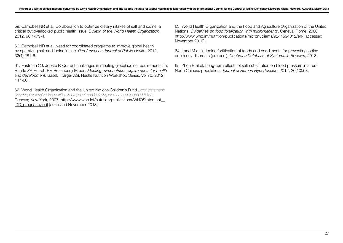59. Campbell NR et al. Collaboration to optimize dietary intakes of salt and iodine: a critical but overlooked public health issue. *Bulletin of the World Health Organization*, 2012, 90(1):73-4.

60. Campbell NR et al. Need for coordinated programs to improve global health by optimizing salt and iodine intake. *Pan American Journal of Public Health*, 2012, 32(4):281-6.

61. Eastman CJ, Jooste P. Current challenges in meeting global iodine requirements. In: Bhutta ZA Hurrell, RF, Rosenberg IH eds. *Meeting mirconutrient requirements for heatlh and development*. Basel, Karger AG, Nestle Nutrition Workshop Series, Vol 70, 2012, 147-60 .

62. World Health Organization and the United Nations Children's Fund. *Joint statement: Reaching optimal iodine nutrition in pregnant and lactating women and young children*. Geneva; New York, 2007, http://www.who.int/nutrition/publications/WHOStatement\_\_ IDD\_pregnancy.pdf [accessed November 2013].

63. World Health Organization and the Food and Agriculture Organization of the United Nations. *Guidelines on food fortification with micronutrients*. Geneva; Rome, 2006, http://www.who.int/nutrition/publications/micronutrients/9241594012/en/ [accessed November 2013].

64. Land M et al. Iodine fortification of foods and condiments for preventing iodine deficiency disorders (protocol). *Cochrane Database of Systematic Reviews*, 2013.

65. Zhou B et al. Long-term effects of salt substitution on blood pressure in a rural North Chinese population. *Journal of Human Hypertension*, 2012, 20(10):63.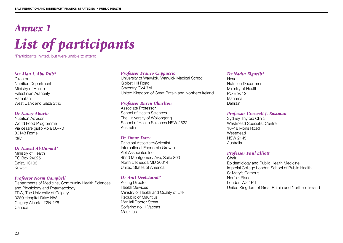# *Annex 1 List of participants*

\*Participants invited, but were unable to attend.

#### *Mr Alaa I. Abu Rub\**

**Director** Nutrition Department Ministry of Health Palestinian Authority Ramallah West Bank and Gaza Strip

### *Dr Nancy Aburto*

Nutrition Advisor World Food Programme Via cesare giulio viola 68–70 00148 Rome Italy

### *Dr Nawal Al-Hamad\**

Ministry of Health PO Box 24225 Safat, 13103 Kuwait

### *Professor Norm Campbell*

Departments of Medicine, Community Health Sciences and Physiology and Pharmacology TRW, The University of Calgary 3280 Hospital Drive NW Calgary Alberta, T2N 4Z6 Canada

### *Professor Franco Cappuccio*

University of Warwick, Warwick Medical School Gibbet Hill Road Coventry CV4 7AL, United Kingdom of Great Britain and Northern Ireland

### *Professor Karen Charlton*

Associate Professor School of Health Sciences The University of Wollongong School of Health Sciences NSW 2522 Australia

### *Dr Omar Dary*

Principal Associate/Scientist International Economic Growth Abt Associates Inc. 4550 Montgomery Ave, Suite 800 North Bethesda MD 20814 United States of America

### *Dr Anil Deelchand\**

Acting Director Health Services Ministry of Health and Quality of Life Republic of Mauritius Manilall Doctor Street Solferino no. 1 Vacoas Mauritius

### *Dr Nadia Elgarib\**

**Head** Nutrition Department Ministry of Health PO Box 12 Manama **Bahrain** 

### *Professor Creswell J. Eastman*

Sydney Thyroid Clinic Westmead Specialist Centre 16–18 Mons Road Westmead NSW 2145 Australia

### *Professor Paul Elliott*

**Chair** Epidemiology and Public Health Medicine Imperial College London School of Public Health St Mary's Campus Norfolk Place London W2 1P6 United Kingdom of Great Britain and Northern Ireland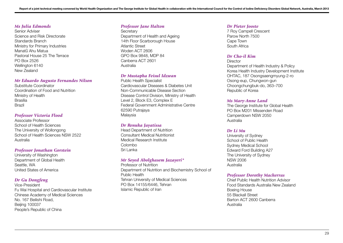### *Ms Julia Edmonds*

Senior Adviser Science and Risk Directorate Standards Branch Ministry for Primary Industries Manatū Ahu Matua Pastoral House 25 The Terrace PO Box 2526 Wellington 6140 New Zealand

### *Mr Eduardo Augusto Fernandes Nilson*

Substitute Coordinator Coordination of Food and Nutrition Ministry of Health **Brasília** Brazil

### *Professor Victoria Flood*

Associate Professor School of Health Sciences The University of Wollongong School of Health Sciences NSW 2522 Australia

### *Professor Jonathan Gorstein*

University of Washington Department of Global Health Seattle, WA United States of America

### *Dr Gu Dongfeng*

Vice-President Fu Wai Hospital and Cardiovascular Institute Chinese Academy of Medical Sciences No. 167 Beilishi Road, Beijing 100037 People's Republic of China

### *Professor Jane Halton*

**Secretary** Department of Health and Ageing 14th Floor Scarborough House Atlantic Street Woden ACT 2606 GPO Box 9848, MDP 84 Canberra ACT 2601 Australia

### *Dr Mustapha Feisul Idzwan*

Public Health Specialist Cardiovascular Diseases & Diabetes Unit Non-Communicable Disease Section Disease Control Division, Ministry of Health Level 2, Block E3, Complex E Federal Government Administrative Centre 62590 Putrajaya Malaysia

### *Dr Renuka Jayatissa*

Head Department of Nutrition Consultant Medical Nutritionist Medical Research Institute Colombo Sri Lanka

### *Mr Seyed Abolghasem Jazayeri\**

Professor of Nutrition Department of Nutrition and Biochemistry School of Public Health Tehran University of Medical Sciences PO Box 14155/6446, Tehran Islamic Republic of Iran

#### *Dr Pieter Jooste*

7 Roy Campell Crescent Parow North 7500 Cape Town South Africa

### *Dr Cho-il Kim*

**Director** Department of Health Industry & Policy Korea Health Industry Development Institute OHTAC, 187 Osongsaengmyung-2-ro Osong-eup, Chungwon-gun Choongchungbuk-do, 363–700 Republic of Korea

### *Ms Mary-Anne Land*

The George Institute for Global Health PO Box M201 Missenden Road Camperdown NSW 2050 Australia

### *Dr Li Mu*

University of Sydney School of Public Health Sydney Medical School Edward Ford Building A27 The University of Sydney NSW 2006 Australia

### *Professor Dorothy Mackerras*

Chief Public Health Nutrition Advisor Food Standards Australia New Zealand Boeing House 55 Blackall Street Barton ACT 2600 Canberra Australia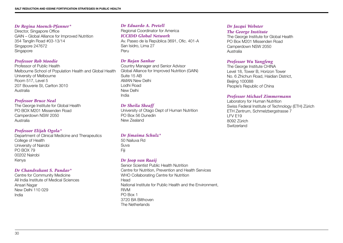### *Dr Regina Moench-Pfanner\**

Director, Singapore Office GAIN – Global Alliance for Improved Nutrition 354 Tanglin Road #03-13/14 Singapore 247672 **Singapore** 

### *Professor Rob Moodie*

Professor of Public Health Melbourne School of Population Health and Global Health University of Melbourne Room 517, Level 5 207 Bouverie St, Carlton 3010 Australia

### *Professor Bruce Neal*

The George Institute for Global Health PO BOX M201 Missenden Road Camperdown NSW 2050 Australia

### *Professor Elijah Ogola\**

Department of Clinical Medicine and Therapeutics College of Health University of Nairobi PO BOX 79 00202 Nairobi Kenya

### *Dr Chandrakant S. Pandav\**

Centre for Community Medicine All India Institute of Medical Sciences Ansari Nagar New Delhi 110 029 India

### *Dr Eduardo A. Pretell*

Regional Coordinator for America *ICCIDD Global Network*  Av. Paseo de la República 3691, Ofic. 401-A San Isidro, Lima 27 Peru

### *Dr Rajan Sankar*

Country Manager and Senior Advisor Global Alliance for Improved Nutrition (GAIN) Suite 15 AB AMAN New Delhi Lodhi Road New Delhi India

### *Dr Sheila Skeaff*

University of Otago Dept of Human Nutrition PO Box 56 Dunedin New Zealand

### *Dr Jimaima Schulz\**

50 Nailuva Rd Suva Fiji

### *Dr Joop van Raaij*

Senior Scientist Public Health Nutrition Centre for Nutrition, Prevention and Health Services WHO Collaborating Centre for Nutrition **Head** National Institute for Public Health and the Environment, RIVM PO Box 1 3720 BA Bilthoven The Netherlands

### *Dr Jacqui Webster*

*The George Institute*

The George Institute for Global Health PO Box M201 Missenden Road Camperdown NSW 2050 Australia

### *Professor Wu Yangfeng*

The George Institute CHINA Level 18, Tower B, Horizon Tower No. 6 Zhichun Road, Haidian District, Beijing 100088 People's Republic of China

### *Professor Michael Zimmermann*

Laboratory for Human Nutrition Swiss Federal Institute of Technology (ETH) Zürich ETH Zentrum, Schmelzbergstrasse 7 LFV E19 8092 Zürich **Switzerland**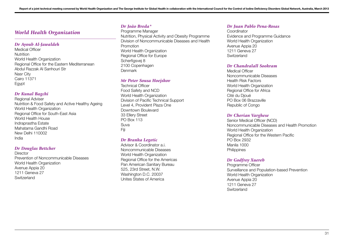## *World Health Organization*

### *Dr Ayoub Al-Jawaldeh*

Medical Officer **Nutrition** World Health Organization Regional Office for the Eastern Mediterranean Abdul Razzak Al Sanhouri Str Nasr City Cairo 11371 **Egypt** 

### *Dr Kunal Bagchi*

Regional Adviser Nutrition & Food Safety and Active Healthy Ageing World Health Organization Regional Office for South-East Asia World Health House Indraprastha Estate Mahatama Gandhi Road New Delhi 110002 India

### *Dr Douglas Bettcher*

**Director** Prevention of Noncommunicable Diseases World Health Organization Avenue Appia 20 1211 Geneva 27 **Switzerland** 

### *Dr João Breda\**

Programme Manager Nutrition, Physical Activity and Obesity Programme Division of Noncommunicable Diseases and Health Promotion World Health Organization Regional Office for Europe Scherfigsvej 8 2100 Copenhagen Denmark

### *Mr Peter Sousa Hoejskov*

Technical Officer Food Safety and NCD World Health Organization Division of Pacific Technical Support Level 4, Provident Plaza One Downtown Boulevard 33 Ellery Street PO Box 113 Suva Fiji

### *Dr Branka Legetic*

Advisor & Coordinator a i Noncommunicable Diseases World Health Organization Regional Office for the Americas Pan American Sanitary Bureau 525, 23rd Street, N.W. Washington D.C. 20037 Unites States of America

### *Dr Juan Pablo Pena-Rosas*

Coordinator Evidence and Programme Guidance World Health Organization Avenue Appia 20 1211 Geneva 27 **Switzerland** 

#### *Dr Chandralall Sookram*

Medical Officer Noncommunicable Diseases Health Risk Factors World Health Organization Regional Office for Africa Cité du Djoué PO Box 06 Brazzaville Republic of Congo

### *Dr Cherian Varghese*

Senior Medical Officer (NCD) Noncommunicable Diseases and Health Promotion World Health Organization Regional Office for the Western Pacific PO Box 2932 Manila 1000 **Philippines** 

### *Dr Godfrey Xuereb*

Programme Officer Surveillance and Population-based Prevention World Health Organization Avenue Appia 20 1211 Geneva 27 **Switzerland**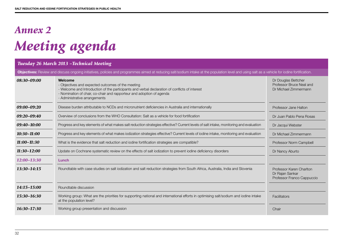# *Annex 2 Meeting agenda*

| Tuesday 26 March 2013 - Technical Meeting |                                                                                                                                                                                                                                                                          |                                                                           |
|-------------------------------------------|--------------------------------------------------------------------------------------------------------------------------------------------------------------------------------------------------------------------------------------------------------------------------|---------------------------------------------------------------------------|
|                                           | Objectives: Review and discuss ongoing initiatives, policies and programmes aimed at reducing salt/sodium intake at the population level and using salt as a vehicle for iodine fortification.                                                                           |                                                                           |
| 08:30-09:00                               | Welcome<br>- Objectives and expected outcomes of the meeting<br>- Welcome and Introduction of the participants and verbal declaration of conflicts of interest<br>- Nomination of chair, co-chair and rapporteur and adoption of agenda<br>- Administrative arrangements | Dr Douglas Bettcher<br>Professor Bruce Neal and<br>Dr Michael Zimmermann  |
| 09:00-09:20                               | Disease burden attributable to NCDs and micronutrient deficiencies in Australia and internationally                                                                                                                                                                      | Professor Jane Halton                                                     |
| $09:20 - 09:40$                           | Overview of conclusions from the WHO Consultation: Salt as a vehicle for food fortification                                                                                                                                                                              | Dr Juan Pablo Pena Rosas                                                  |
| 09:40-10:00                               | Progress and key elements of what makes salt reduction strategies effective? Current levels of salt intake, monitoring and evaluation                                                                                                                                    | Dr Jacqui Webster                                                         |
| $10:30 - 11:00$                           | Progress and key elements of what makes iodization strategies effective? Current levels of iodine intake, monitoring and evaluation                                                                                                                                      | Dr Michael Zimmermann                                                     |
| $11:00 - 11:30$                           | What is the evidence that salt reduction and iodine fortification strategies are compatible?                                                                                                                                                                             | Professor Norm Campbell                                                   |
| $11:30-12:00$                             | Update on Cochrane systematic review on the effects of salt iodization to prevent iodine deficiency disorders                                                                                                                                                            | Dr Nancy Aburto                                                           |
| 12:00-13:30                               | Lunch                                                                                                                                                                                                                                                                    |                                                                           |
| 13:30-14:15                               | Roundtable with case studies on salt iodization and salt reduction strategies from South Africa, Australia, India and Slovenia                                                                                                                                           | Professor Karen Charlton<br>Dr Rajan Sankar<br>Professor Franco Cappuccio |
| 14:15-15:00                               | Roundtable discussion                                                                                                                                                                                                                                                    |                                                                           |
| 15:30-16:30                               | Working group: What are the priorities for supporting national and international efforts in optimising salt/sodium and iodine intake<br>at the population level?                                                                                                         | Facilitators                                                              |
| 16:30-17:30                               | Working group presentation and discussion                                                                                                                                                                                                                                | Chair                                                                     |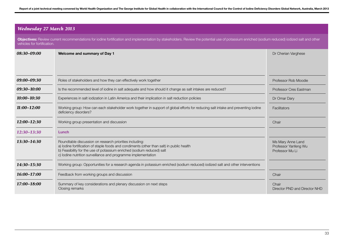## *Wednesday 27 March 2013*

**Objectives:** Review current recommendations for iodine fortification and implementation by stakeholders. Review the potential use of potassium enriched (sodium reduced) iodized salt and other vehicles for fortification.

| 08:30-09:00     | Welcome and summary of Day 1                                                                                                                                                                                                                                                                    | Dr Cherian Varghese                                          |
|-----------------|-------------------------------------------------------------------------------------------------------------------------------------------------------------------------------------------------------------------------------------------------------------------------------------------------|--------------------------------------------------------------|
|                 |                                                                                                                                                                                                                                                                                                 |                                                              |
|                 |                                                                                                                                                                                                                                                                                                 |                                                              |
| 09:00-09:30     | Roles of stakeholders and how they can effectively work together                                                                                                                                                                                                                                | Professor Rob Moodie                                         |
| 09:30-10:00     | Is the recommended level of iodine in salt adequate and how should it change as salt intakes are reduced?                                                                                                                                                                                       | Professor Cres Eastman                                       |
| $10:00 - 10:30$ | Experiences in salt iodization in Latin America and their implication in salt reduction policies                                                                                                                                                                                                | Dr Omar Dary                                                 |
| $11:00 - 12:00$ | Working group: How can each stakeholder work together in support of global efforts for reducing salt intake and preventing iodine<br>deficiency disorders?                                                                                                                                      | Facilitators                                                 |
| $12:00 - 12:30$ | Working group presentation and discussion                                                                                                                                                                                                                                                       | Chair                                                        |
| 12:30-13:30     | Lunch                                                                                                                                                                                                                                                                                           |                                                              |
| $13:30 - 14:30$ | Roundtable discussion on research priorities including:<br>a) lodine fortification of staple foods and condiments (other than salt) in public health<br>b) Feasibility for the use of potassium enriched (sodium reduced) salt<br>c) lodine nutrition surveillance and programme implementation | Ms Mary Anne Land<br>Professor Yanfeng Wu<br>Professor Mu Li |
| 14:30-15:30     | Working group: Opportunities for a research agenda in potassium enriched (sodium reduced) iodized salt and other interventions                                                                                                                                                                  |                                                              |
| 16:00-17:00     | Feedback from working groups and discussion                                                                                                                                                                                                                                                     | Chair                                                        |
| 17:00-18:00     | Summary of key considerations and plenary discussion on next steps<br>Closing remarks                                                                                                                                                                                                           | Chair<br>Director PND and Director NHD                       |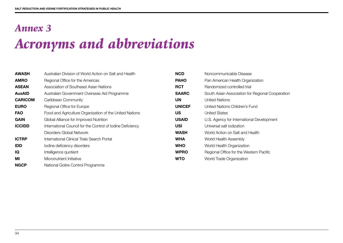# *Annex 3 Acronyms and abbreviations*

| <b>AWASH</b>   | Australian Division of World Action on Salt and Health     | <b>NCD</b>    | Noncommunicable Disease                          |
|----------------|------------------------------------------------------------|---------------|--------------------------------------------------|
| <b>AMRO</b>    | Regional Office for the Americas                           | <b>PAHO</b>   | Pan American Health Organization                 |
| <b>ASEAN</b>   | Association of Southeast Asian Nations                     | <b>RCT</b>    | Randomized controlled trial                      |
| <b>AusAID</b>  | Australian Government Overseas Aid Programme               | <b>SAARC</b>  | South Asian Association for Regional Cooperation |
| <b>CARICOM</b> | Caribbean Community                                        | <b>UN</b>     | <b>United Nations</b>                            |
| <b>EURO</b>    | Regional Office for Europe                                 | <b>UNICEF</b> | United Nations Children's Fund                   |
| <b>FAO</b>     | Food and Agriculture Organization of the United Nations    | US            | <b>United States</b>                             |
| <b>GAIN</b>    | Global Alliance for Improved Nutrition                     | <b>USAID</b>  | U.S. Agency for International Development        |
| <b>ICCIDD</b>  | International Council for the Control of Iodine Deficiency | <b>USI</b>    | Universal salt iodization                        |
|                | Disorders Global Network                                   | <b>WASH</b>   | World Action on Salt and Health                  |
| <b>ICTRP</b>   | International Clinical Trials Search Portal                | <b>WHA</b>    | World Health Assembly                            |
| <b>IDD</b>     | lodine deficiency disorders                                | <b>WHO</b>    | World Health Organization                        |
| IQ             | Intelligence quotient                                      | <b>WPRO</b>   | Regional Office for the Western Pacific          |
| МI             | Micronutrient Initiative                                   | <b>WTO</b>    | World Trade Organization                         |
| <b>NGCP</b>    | National Goitre Control Programme                          |               |                                                  |